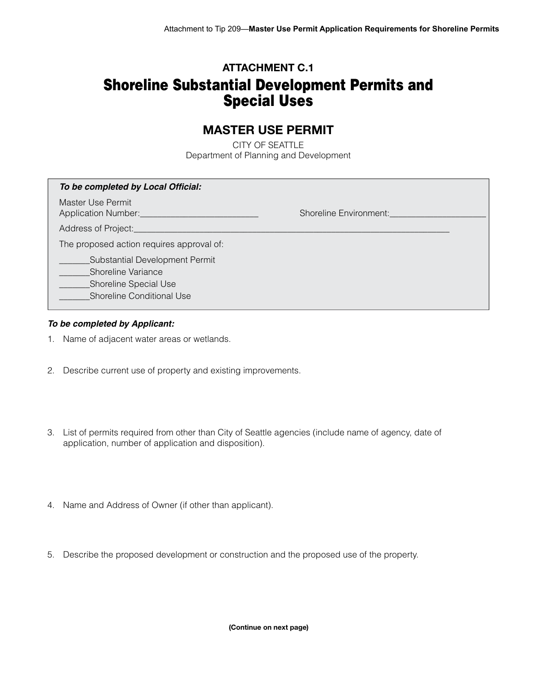## **ATTACHMENT C.1**

# Shoreline Substantial Development Permits and Special Uses

# **MASTER USE PERMIT**

CITY OF SEATTLE Department of Planning and Development

| To be completed by Local Official:                                                                                |                               |
|-------------------------------------------------------------------------------------------------------------------|-------------------------------|
| Master Use Permit<br>Application Number:                                                                          | <b>Shoreline Environment:</b> |
| Address of Project:                                                                                               |                               |
| The proposed action requires approval of:                                                                         |                               |
| Substantial Development Permit<br>Shoreline Variance<br><b>Shoreline Special Use</b><br>Shoreline Conditional Use |                               |

#### *To be completed by Applicant:*

- 1. Name of adjacent water areas or wetlands.
- 2. Describe current use of property and existing improvements.
- 3. List of permits required from other than City of Seattle agencies (include name of agency, date of application, number of application and disposition).
- 4. Name and Address of Owner (if other than applicant).
- 5. Describe the proposed development or construction and the proposed use of the property.

**(Continue on next page)**